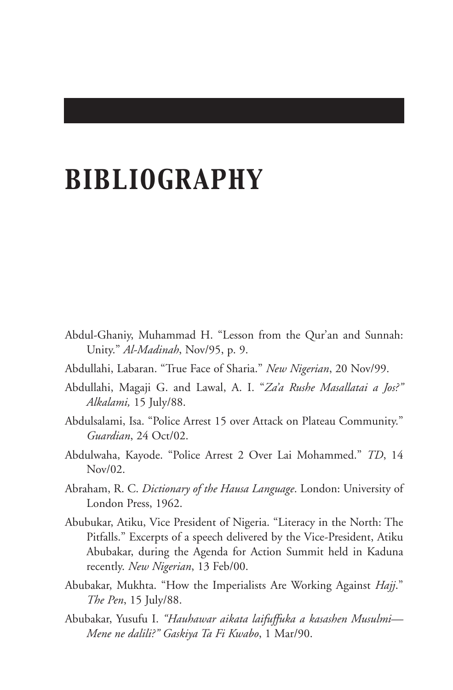## *BIBLIOGRAPHY*

- Abdul-Ghaniy, Muhammad H. "Lesson from the Qur'an and Sunnah: Unity." *Al-Madinah*, Nov/95, p. 9.
- Abdullahi, Labaran. "True Face of Sharia." *New Nigerian*, 20 Nov/99.
- Abdullahi, Magaji G. and Lawal, A. I. "*Za'a Rushe Masallatai a Jos?" Alkalami,* 15 July/88.
- Abdulsalami, Isa. "Police Arrest 15 over Attack on Plateau Community." *Guardian*, 24 Oct/02.
- Abdulwaha, Kayode. "Police Arrest 2 Over Lai Mohammed." *TD*, 14 Nov/02.
- Abraham, R. C. *Dictionary of the Hausa Language*. London: University of London Press, 1962.
- Abubukar, Atiku, Vice President of Nigeria. "Literacy in the North: The Pitfalls." Excerpts of a speech delivered by the Vice-President, Atiku Abubakar, during the Agenda for Action Summit held in Kaduna recently. *New Nigerian*, 13 Feb/00.
- Abubakar, Mukhta. "How the Imperialists Are Working Against *Hajj*." *The Pen*, 15 July/88.
- Abubakar, Yusufu I. *"Hauhawar aikata laifuffuka a kasashen Musulmi— Mene ne dalili?" Gaskiya Ta Fi Kwabo*, 1 Mar/90.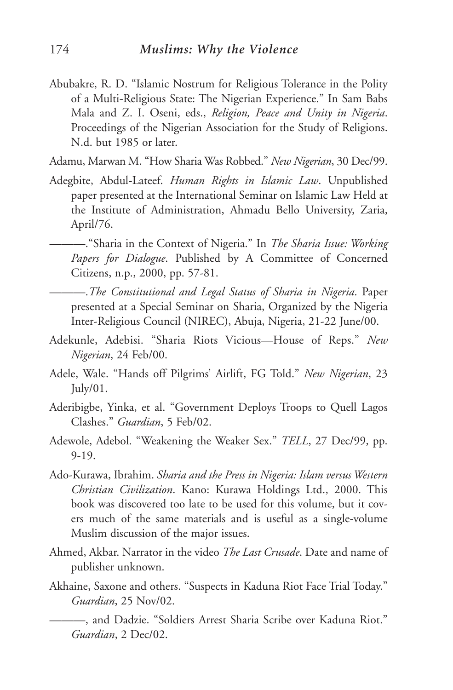- Abubakre, R. D. "Islamic Nostrum for Religious Tolerance in the Polity of a Multi-Religious State: The Nigerian Experience." In Sam Babs Mala and Z. I. Oseni, eds., *Religion, Peace and Unity in Nigeria*. Proceedings of the Nigerian Association for the Study of Religions. N.d. but 1985 or later.
- Adamu, Marwan M. "How Sharia Was Robbed." *New Nigerian*, 30 Dec/99.
- Adegbite, Abdul-Lateef. *Human Rights in Islamic Law*. Unpublished paper presented at the International Seminar on Islamic Law Held at the Institute of Administration, Ahmadu Bello University, Zaria, April/76.

———."Sharia in the Context of Nigeria." In *The Sharia Issue: Working Papers for Dialogue*. Published by A Committee of Concerned Citizens, n.p., 2000, pp. 57-81.

———.*The Constitutional and Legal Status of Sharia in Nigeria*. Paper presented at a Special Seminar on Sharia, Organized by the Nigeria Inter-Religious Council (NIREC), Abuja, Nigeria, 21-22 June/00.

- Adekunle, Adebisi. "Sharia Riots Vicious—House of Reps." *New Nigerian*, 24 Feb/00.
- Adele, Wale. "Hands off Pilgrims' Airlift, FG Told." *New Nigerian*, 23  $\text{Iuly}/01$ .
- Aderibigbe, Yinka, et al. "Government Deploys Troops to Quell Lagos Clashes." *Guardian*, 5 Feb/02.
- Adewole, Adebol. "Weakening the Weaker Sex." *TELL*, 27 Dec/99, pp. 9-19.
- Ado-Kurawa, Ibrahim. *Sharia and the Press in Nigeria: Islam versus Western Christian Civilization*. Kano: Kurawa Holdings Ltd., 2000. This book was discovered too late to be used for this volume, but it covers much of the same materials and is useful as a single-volume Muslim discussion of the major issues.
- Ahmed, Akbar. Narrator in the video *The Last Crusade*. Date and name of publisher unknown.
- Akhaine, Saxone and others. "Suspects in Kaduna Riot Face Trial Today." *Guardian*, 25 Nov/02.

<sup>———,</sup> and Dadzie. "Soldiers Arrest Sharia Scribe over Kaduna Riot." *Guardian*, 2 Dec/02.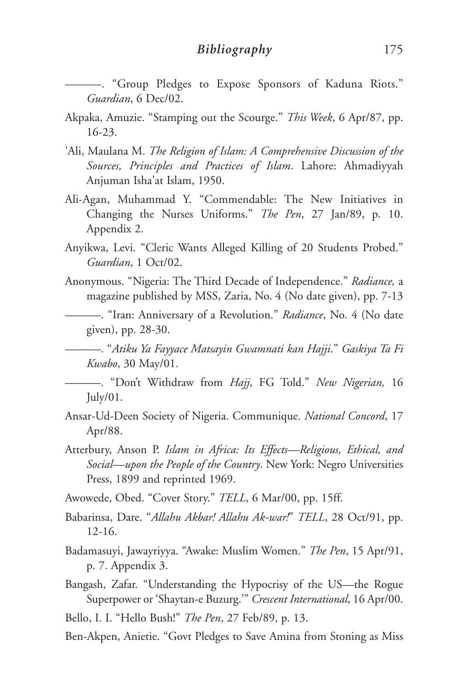———. "Group Pledges to Expose Sponsors of Kaduna Riots." *Guardian*, 6 Dec/02.

- Akpaka, Amuzie. "Stamping out the Scourge." *This Week*, 6 Apr/87, pp. 16-23.
- 'Ali, Maulana M. *The Religion of Islam: A Comprehensive Discussion of the Sources, Principles and Practices of Islam*. Lahore: Ahmadiyyah Anjuman Isha'at Islam, 1950.
- Ali-Agan, Muhammad Y. "Commendable: The New Initiatives in Changing the Nurses Uniforms." *The Pen*, 27 Jan/89, p. 10. Appendix 2.
- Anyikwa, Levi. "Cleric Wants Alleged Killing of 20 Students Probed." *Guardian*, 1 Oct/02.
- Anonymous. "Nigeria: The Third Decade of Independence." *Radiance,* a magazine published by MSS, Zaria, No. 4 (No date given), pp. 7-13

———. "Iran: Anniversary of a Revolution." *Radiance*, No. 4 (No date given), pp. 28-30.

———. "*Atiku Ya Fayyace Matsayin Gwamnati kan Hajji*." *Gaskiya Ta Fi Kwabo*, 30 May/01.

———. "Don't Withdraw from *Hajj*, FG Told." *New Nigerian,* 16  $\text{July}/01.$ 

- Ansar-Ud-Deen Society of Nigeria. Communique. *National Concord*, 17 Apr/88.
- Atterbury, Anson P. *Islam in Africa: Its Effects—Religious, Ethical, and Social—upon the People of the Country*. New York: Negro Universities Press, 1899 and reprinted 1969.
- Awowede, Obed. "Cover Story." *TELL*, 6 Mar/00, pp. 15ff.
- Babarinsa, Dare. "*Allahu Akbar! Allahu Ak-war!*" *TELL*, 28 Oct/91, pp. 12-16.
- Badamasuyi, Jawayriyya. "Awake: Muslim Women." *The Pen*, 15 Apr/91, p. 7. Appendix 3.
- Bangash, Zafar. "Understanding the Hypocrisy of the US—the Rogue Superpower or 'Shaytan-e Buzurg.'" *Crescent International*, 16 Apr/00.
- Bello, I. I. "Hello Bush!" *The Pen*, 27 Feb/89, p. 13.
- Ben-Akpen, Anietie. "Govt Pledges to Save Amina from Stoning as Miss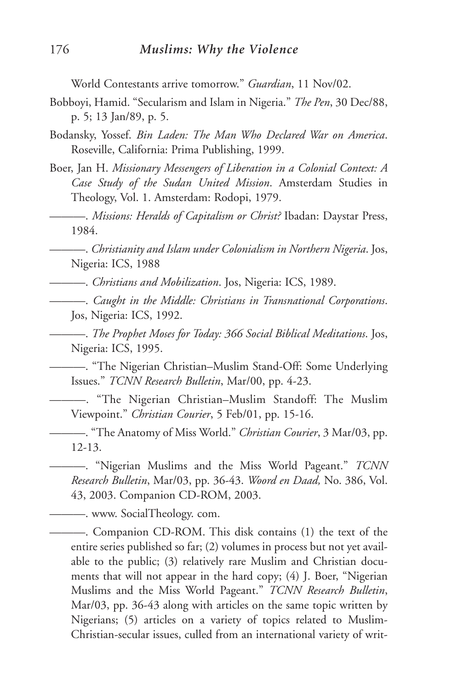World Contestants arrive tomorrow." *Guardian*, 11 Nov/02.

- Bobboyi, Hamid. "Secularism and Islam in Nigeria." *The Pen*, 30 Dec/88, p. 5; 13 Jan/89, p. 5.
- Bodansky, Yossef. *Bin Laden: The Man Who Declared War on America*. Roseville, California: Prima Publishing, 1999.
- Boer, Jan H. *Missionary Messengers of Liberation in a Colonial Context: A Case Study of the Sudan United Mission*. Amsterdam Studies in Theology, Vol. 1. Amsterdam: Rodopi, 1979.
- ———. *Missions: Heralds of Capitalism or Christ?* Ibadan: Daystar Press, 1984.

———. *Christianity and Islam under Colonialism in Northern Nigeria*. Jos, Nigeria: ICS, 1988

———. *Christians and Mobilization*. Jos, Nigeria: ICS, 1989.

———. *Caught in the Middle: Christians in Transnational Corporations*. Jos, Nigeria: ICS, 1992.

———. *The Prophet Moses for Today: 366 Social Biblical Meditations*. Jos, Nigeria: ICS, 1995.

———. "The Nigerian Christian–Muslim Stand-Off: Some Underlying Issues." *TCNN Research Bulletin*, Mar/00, pp. 4-23.

———. "The Nigerian Christian–Muslim Standoff: The Muslim Viewpoint." *Christian Courier*, 5 Feb/01, pp. 15-16.

———. "The Anatomy of Miss World." *Christian Courier*, 3 Mar/03, pp. 12-13.

———. "Nigerian Muslims and the Miss World Pageant." *TCNN Research Bulletin*, Mar/03, pp. 36-43. *Woord en Daad,* No. 386, Vol. 43, 2003. Companion CD-ROM, 2003.

———. www. SocialTheology. com.

———. Companion CD-ROM. This disk contains (1) the text of the entire series published so far; (2) volumes in process but not yet available to the public; (3) relatively rare Muslim and Christian documents that will not appear in the hard copy; (4) J. Boer, "Nigerian Muslims and the Miss World Pageant." *TCNN Research Bulletin*, Mar/03, pp. 36-43 along with articles on the same topic written by Nigerians; (5) articles on a variety of topics related to Muslim-Christian-secular issues, culled from an international variety of writ-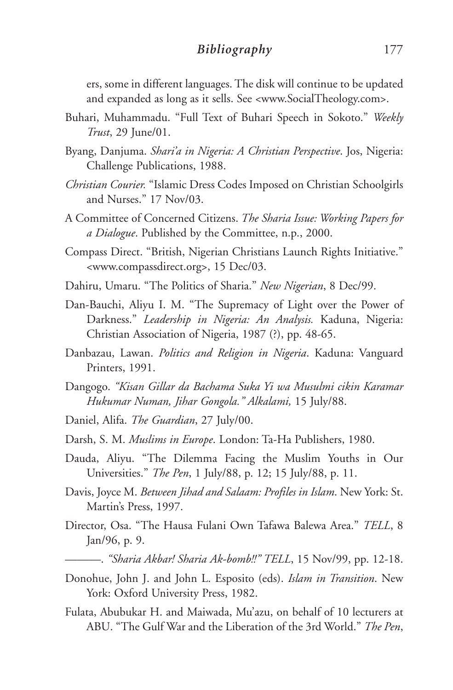## *Bibliography* 177

ers, some in different languages. The disk will continue to be updated and expanded as long as it sells. See <www.SocialTheology.com>.

- Buhari, Muhammadu. "Full Text of Buhari Speech in Sokoto." *Weekly Trust*, 29 June/01.
- Byang, Danjuma. *Shari'a in Nigeria: A Christian Perspective*. Jos, Nigeria: Challenge Publications, 1988.
- *Christian Courier.* "Islamic Dress Codes Imposed on Christian Schoolgirls and Nurses." 17 Nov/03.
- A Committee of Concerned Citizens. *The Sharia Issue: Working Papers for a Dialogue*. Published by the Committee, n.p., 2000.
- Compass Direct. "British, Nigerian Christians Launch Rights Initiative." <www.compassdirect.org>, 15 Dec/03.
- Dahiru, Umaru. "The Politics of Sharia." *New Nigerian*, 8 Dec/99.
- Dan-Bauchi, Aliyu I. M. "The Supremacy of Light over the Power of Darkness." *Leadership in Nigeria: An Analysis.* Kaduna, Nigeria: Christian Association of Nigeria, 1987 (?), pp. 48-65.
- Danbazau, Lawan. *Politics and Religion in Nigeria*. Kaduna: Vanguard Printers, 1991.
- Dangogo. *"Kisan Gillar da Bachama Suka Yi wa Musulmi cikin Karamar Hukumar Numan, Jihar Gongola." Alkalami,* 15 July/88.
- Daniel, Alifa. *The Guardian*, 27 July/00.
- Darsh, S. M. *Muslims in Europe*. London: Ta-Ha Publishers, 1980.
- Dauda, Aliyu. "The Dilemma Facing the Muslim Youths in Our Universities." *The Pen*, 1 July/88, p. 12; 15 July/88, p. 11.
- Davis, Joyce M. *Between Jihad and Salaam: Profiles in Islam*. New York: St. Martin's Press, 1997.
- Director, Osa. "The Hausa Fulani Own Tafawa Balewa Area." *TELL*, 8 Jan/96, p. 9.
	- ———. *"Sharia Akbar! Sharia Ak-bomb!!" TELL*, 15 Nov/99, pp. 12-18.
- Donohue, John J. and John L. Esposito (eds). *Islam in Transition*. New York: Oxford University Press, 1982.
- Fulata, Abubukar H. and Maiwada, Mu'azu, on behalf of 10 lecturers at ABU. "The Gulf War and the Liberation of the 3rd World." *The Pen*,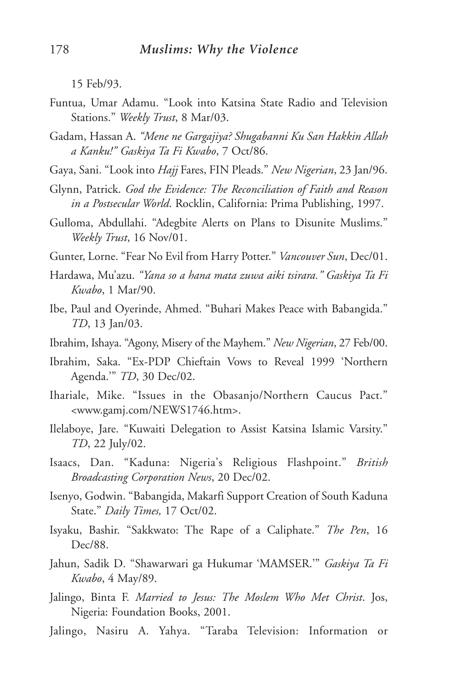15 Feb/93.

- Funtua, Umar Adamu. "Look into Katsina State Radio and Television Stations." *Weekly Trust*, 8 Mar/03.
- Gadam, Hassan A. *"Mene ne Gargajiya? Shugabanni Ku San Hakkin Allah a Kanku!" Gaskiya Ta Fi Kwabo*, 7 Oct/86.
- Gaya, Sani. "Look into *Hajj* Fares, FIN Pleads." *New Nigerian*, 23 Jan/96.
- Glynn, Patrick. *God the Evidence: The Reconciliation of Faith and Reason in a Postsecular World*. Rocklin, California: Prima Publishing, 1997.
- Gulloma, Abdullahi. "Adegbite Alerts on Plans to Disunite Muslims." *Weekly Trust*, 16 Nov/01.
- Gunter, Lorne. "Fear No Evil from Harry Potter." *Vancouver Sun*, Dec/01.
- Hardawa, Mu'azu. *"Yana so a hana mata zuwa aiki tsirara." Gaskiya Ta Fi Kwabo*, 1 Mar/90.
- Ibe, Paul and Oyerinde, Ahmed. "Buhari Makes Peace with Babangida." *TD*, 13 Jan/03.
- Ibrahim, Ishaya. "Agony, Misery of the Mayhem." *New Nigerian*, 27 Feb/00.
- Ibrahim, Saka. "Ex-PDP Chieftain Vows to Reveal 1999 'Northern Agenda.'" *TD*, 30 Dec/02.
- Ihariale, Mike. "Issues in the Obasanjo/Northern Caucus Pact." <www.gamj.com/NEWS1746.htm>.
- Ilelaboye, Jare. "Kuwaiti Delegation to Assist Katsina Islamic Varsity." *TD*, 22 July/02.
- Isaacs, Dan. "Kaduna: Nigeria's Religious Flashpoint." *British Broadcasting Corporation News*, 20 Dec/02.
- Isenyo, Godwin. "Babangida, Makarfi Support Creation of South Kaduna State." *Daily Times,* 17 Oct/02.
- Isyaku, Bashir. "Sakkwato: The Rape of a Caliphate." *The Pen*, 16 Dec/88.
- Jahun, Sadik D. "Shawarwari ga Hukumar 'MAMSER.'" *Gaskiya Ta Fi Kwabo*, 4 May/89.
- Jalingo, Binta F. *Married to Jesus: The Moslem Who Met Christ*. Jos, Nigeria: Foundation Books, 2001.
- Jalingo, Nasiru A. Yahya. "Taraba Television: Information or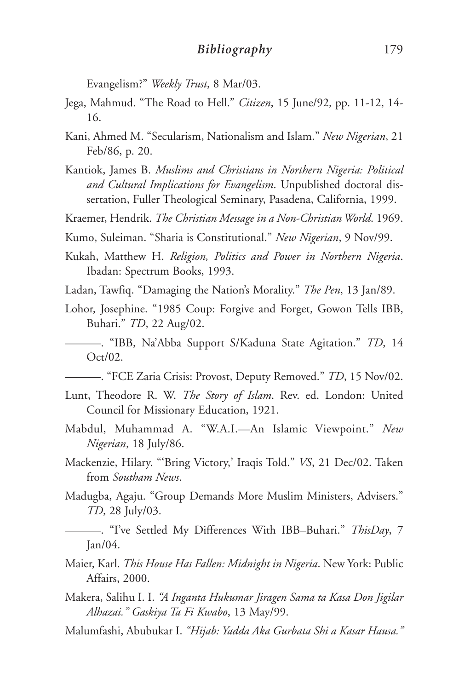Evangelism?" *Weekly Trust*, 8 Mar/03.

- Jega, Mahmud. "The Road to Hell." *Citizen*, 15 June/92, pp. 11-12, 14- 16.
- Kani, Ahmed M. "Secularism, Nationalism and Islam." *New Nigerian*, 21 Feb/86, p. 20.
- Kantiok, James B. *Muslims and Christians in Northern Nigeria: Political and Cultural Implications for Evangelism*. Unpublished doctoral dissertation, Fuller Theological Seminary, Pasadena, California, 1999.
- Kraemer, Hendrik. *The Christian Message in a Non-Christian World*. 1969.
- Kumo, Suleiman. "Sharia is Constitutional." *New Nigerian*, 9 Nov/99.
- Kukah, Matthew H. *Religion, Politics and Power in Northern Nigeria*. Ibadan: Spectrum Books, 1993.
- Ladan, Tawfiq. "Damaging the Nation's Morality." *The Pen*, 13 Jan/89.
- Lohor, Josephine. "1985 Coup: Forgive and Forget, Gowon Tells IBB, Buhari." *TD*, 22 Aug/02.
	- ———. "IBB, Na'Abba Support S/Kaduna State Agitation." *TD*, 14 Oct/02.
- ———. "FCE Zaria Crisis: Provost, Deputy Removed." *TD*, 15 Nov/02.
- Lunt, Theodore R. W. *The Story of Islam*. Rev. ed. London: United Council for Missionary Education, 1921.
- Mabdul, Muhammad A. "W.A.I.—An Islamic Viewpoint." *New Nigerian*, 18 July/86.
- Mackenzie, Hilary. "'Bring Victory,' Iraqis Told." *VS*, 21 Dec/02. Taken from *Southam News*.
- Madugba, Agaju. "Group Demands More Muslim Ministers, Advisers." *TD*, 28 July/03.

———. "I've Settled My Differences With IBB–Buhari." *ThisDay*, 7 Jan/04.

- Maier, Karl. *This House Has Fallen: Midnight in Nigeria*. New York: Public Affairs, 2000.
- Makera, Salihu I. I. *"A Inganta Hukumar Jiragen Sama ta Kasa Don Jigilar Alhazai." Gaskiya Ta Fi Kwabo*, 13 May/99.
- Malumfashi, Abubukar I. *"Hijab: Yadda Aka Gurbata Shi a Kasar Hausa."*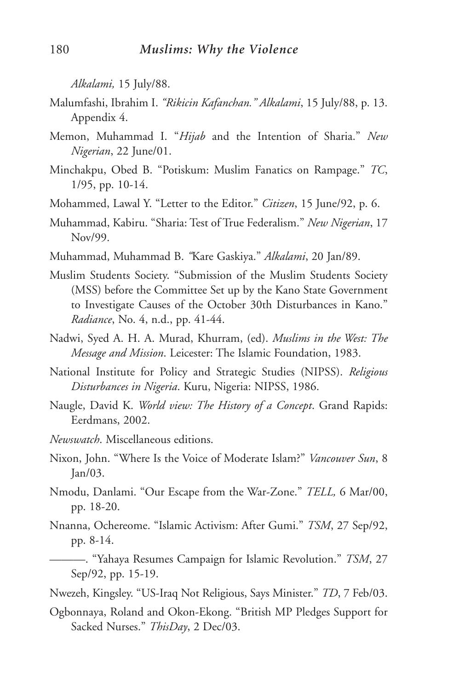*Alkalami,* 15 July/88.

- Malumfashi, Ibrahim I. *"Rikicin Kafanchan." Alkalami*, 15 July/88, p. 13. Appendix 4.
- Memon, Muhammad I. "*Hijab* and the Intention of Sharia." *New Nigerian*, 22 June/01.
- Minchakpu, Obed B. "Potiskum: Muslim Fanatics on Rampage." *TC*, 1/95, pp. 10-14.
- Mohammed, Lawal Y. "Letter to the Editor." *Citizen*, 15 June/92, p. 6.
- Muhammad, Kabiru. "Sharia: Test of True Federalism." *New Nigerian*, 17 Nov/99.
- Muhammad, Muhammad B. *"*Kare Gaskiya." *Alkalami*, 20 Jan/89.
- Muslim Students Society. "Submission of the Muslim Students Society (MSS) before the Committee Set up by the Kano State Government to Investigate Causes of the October 30th Disturbances in Kano." *Radiance*, No. 4, n.d., pp. 41-44.
- Nadwi, Syed A. H. A. Murad, Khurram, (ed). *Muslims in the West: The Message and Mission*. Leicester: The Islamic Foundation, 1983.
- National Institute for Policy and Strategic Studies (NIPSS). *Religious Disturbances in Nigeria*. Kuru, Nigeria: NIPSS, 1986.
- Naugle, David K. *World view: The History of a Concept*. Grand Rapids: Eerdmans, 2002.
- *Newswatch*. Miscellaneous editions.
- Nixon, John. "Where Is the Voice of Moderate Islam?" *Vancouver Sun*, 8 Jan/03.
- Nmodu, Danlami. "Our Escape from the War-Zone." *TELL,* 6 Mar/00, pp. 18-20.
- Nnanna, Ochereome. "Islamic Activism: After Gumi." *TSM*, 27 Sep/92, pp. 8-14.
- ———. "Yahaya Resumes Campaign for Islamic Revolution." *TSM*, 27 Sep/92, pp. 15-19.
- Nwezeh, Kingsley. "US-Iraq Not Religious, Says Minister." *TD*, 7 Feb/03.
- Ogbonnaya, Roland and Okon-Ekong. "British MP Pledges Support for Sacked Nurses." *ThisDay*, 2 Dec/03.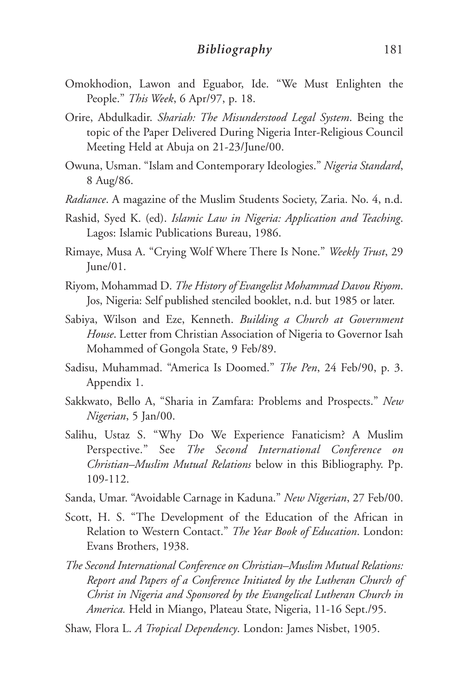- Omokhodion, Lawon and Eguabor, Ide. "We Must Enlighten the People." *This Week*, 6 Apr/97, p. 18.
- Orire, Abdulkadir. *Shariah: The Misunderstood Legal System*. Being the topic of the Paper Delivered During Nigeria Inter-Religious Council Meeting Held at Abuja on 21-23/June/00.
- Owuna, Usman. "Islam and Contemporary Ideologies." *Nigeria Standard*, 8 Aug/86.
- *Radiance*. A magazine of the Muslim Students Society, Zaria. No. 4, n.d.
- Rashid, Syed K. (ed). *Islamic Law in Nigeria: Application and Teaching*. Lagos: Islamic Publications Bureau, 1986.
- Rimaye, Musa A. "Crying Wolf Where There Is None." *Weekly Trust*, 29 June/01.
- Riyom, Mohammad D. *The History of Evangelist Mohammad Davou Riyom*. Jos, Nigeria: Self published stenciled booklet, n.d. but 1985 or later.
- Sabiya, Wilson and Eze, Kenneth. *Building a Church at Government House*. Letter from Christian Association of Nigeria to Governor Isah Mohammed of Gongola State, 9 Feb/89.
- Sadisu, Muhammad. "America Is Doomed." *The Pen*, 24 Feb/90, p. 3. Appendix 1.
- Sakkwato, Bello A, "Sharia in Zamfara: Problems and Prospects." *New Nigerian*, 5 Jan/00.
- Salihu, Ustaz S. "Why Do We Experience Fanaticism? A Muslim Perspective." See *The Second International Conference on Christian–Muslim Mutual Relations* below in this Bibliography. Pp. 109-112.
- Sanda, Umar. "Avoidable Carnage in Kaduna." *New Nigerian*, 27 Feb/00.
- Scott, H. S. "The Development of the Education of the African in Relation to Western Contact." *The Year Book of Education*. London: Evans Brothers, 1938.
- *The Second International Conference on Christian–Muslim Mutual Relations: Report and Papers of a Conference Initiated by the Lutheran Church of Christ in Nigeria and Sponsored by the Evangelical Lutheran Church in America.* Held in Miango, Plateau State, Nigeria, 11-16 Sept./95.

Shaw, Flora L. *A Tropical Dependency*. London: James Nisbet, 1905.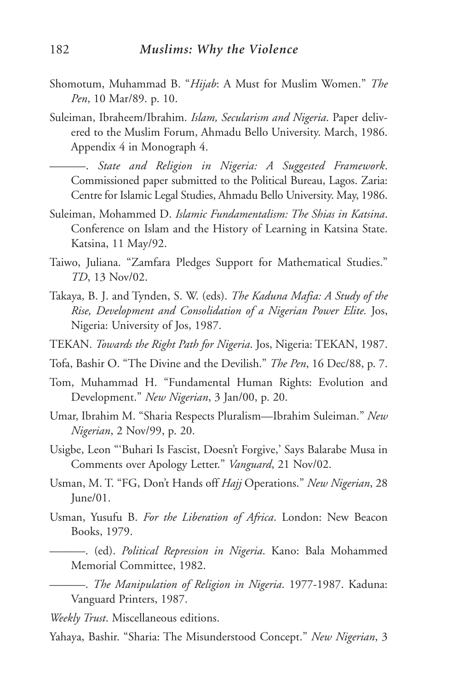- Shomotum, Muhammad B. "*Hijab*: A Must for Muslim Women." *The Pen*, 10 Mar/89. p. 10.
- Suleiman, Ibraheem/Ibrahim. *Islam, Secularism and Nigeria*. Paper delivered to the Muslim Forum, Ahmadu Bello University. March, 1986. Appendix 4 in Monograph 4.

———. *State and Religion in Nigeria: A Suggested Framework*. Commissioned paper submitted to the Political Bureau, Lagos. Zaria: Centre for Islamic Legal Studies, Ahmadu Bello University. May, 1986.

- Suleiman, Mohammed D. *Islamic Fundamentalism: The Shias in Katsina*. Conference on Islam and the History of Learning in Katsina State. Katsina, 11 May/92.
- Taiwo, Juliana. "Zamfara Pledges Support for Mathematical Studies." *TD*, 13 Nov/02.
- Takaya, B. J. and Tynden, S. W. (eds). *The Kaduna Mafia: A Study of the Rise, Development and Consolidation of a Nigerian Power Elite.* Jos, Nigeria: University of Jos, 1987.
- TEKAN. *Towards the Right Path for Nigeria*. Jos, Nigeria: TEKAN, 1987.
- Tofa, Bashir O. "The Divine and the Devilish." *The Pen*, 16 Dec/88, p. 7.
- Tom, Muhammad H. "Fundamental Human Rights: Evolution and Development." *New Nigerian*, 3 Jan/00, p. 20.
- Umar, Ibrahim M. "Sharia Respects Pluralism—Ibrahim Suleiman." *New Nigerian*, 2 Nov/99, p. 20.
- Usigbe, Leon "'Buhari Is Fascist, Doesn't Forgive,' Says Balarabe Musa in Comments over Apology Letter." *Vanguard*, 21 Nov/02.
- Usman, M. T. "FG, Don't Hands off *Hajj* Operations." *New Nigerian*, 28 June/01.
- Usman, Yusufu B. *For the Liberation of Africa*. London: New Beacon Books, 1979.
- ———. (ed). *Political Repression in Nigeria*. Kano: Bala Mohammed Memorial Committee, 1982.
- ———. *The Manipulation of Religion in Nigeria*. 1977-1987. Kaduna: Vanguard Printers, 1987.
- *Weekly Trust*. Miscellaneous editions.
- Yahaya, Bashir. "Sharia: The Misunderstood Concept." *New Nigerian*, 3